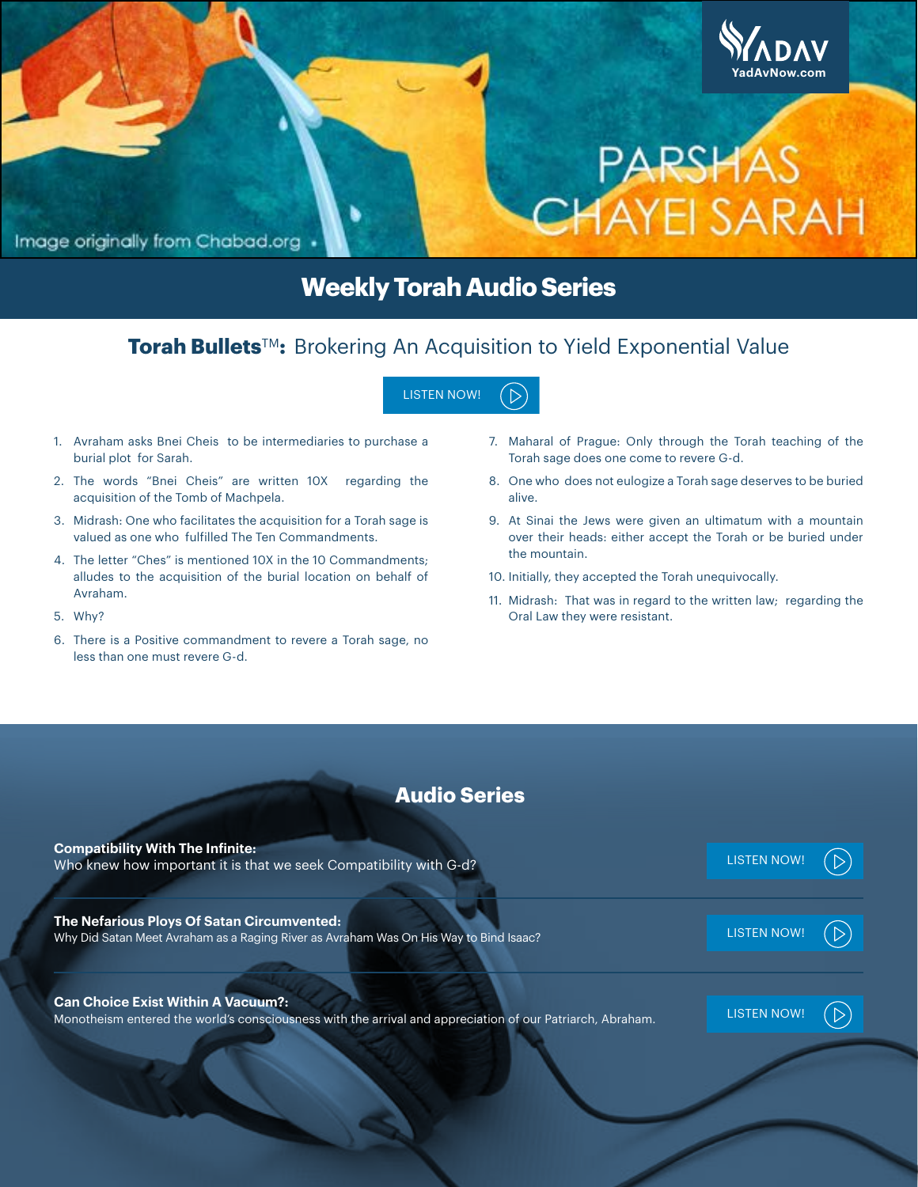

# **Weekly Torah Audio Series**

# **Torah Bullets**™: Brokering An Acquisition to Yield Exponential Value

- 1. Avraham asks Bnei Cheis to be intermediaries to purchase a burial plot for Sarah.
- 2. The words "Bnei Cheis" are written 10X regarding the acquisition of the Tomb of Machpela.
- 3. Midrash: One who facilitates the acquisition for a Torah sage is valued as one who fulfilled The Ten Commandments.
- 4. The letter "Ches" is mentioned 10X in the 10 Commandments; alludes to the acquisition of the burial location on behalf of Avraham.
- 5. Why?
- 6. There is a Positive commandment to revere a Torah sage, no less than one must revere G-d.
- 7. Maharal of Prague: Only through the Torah teaching of the Torah sage does one come to revere G-d.
- 8. One who does not eulogize a Torah sage deserves to be buried alive.
- 9. At Sinai the Jews were given an ultimatum with a mountain over their heads: either accept the Torah or be buried under the mountain.
- 10. Initially, they accepted the Torah unequivocally.
- 11. Midrash: That was in regard to the written law; regarding the Oral Law they were resistant.

## **Audio Series**

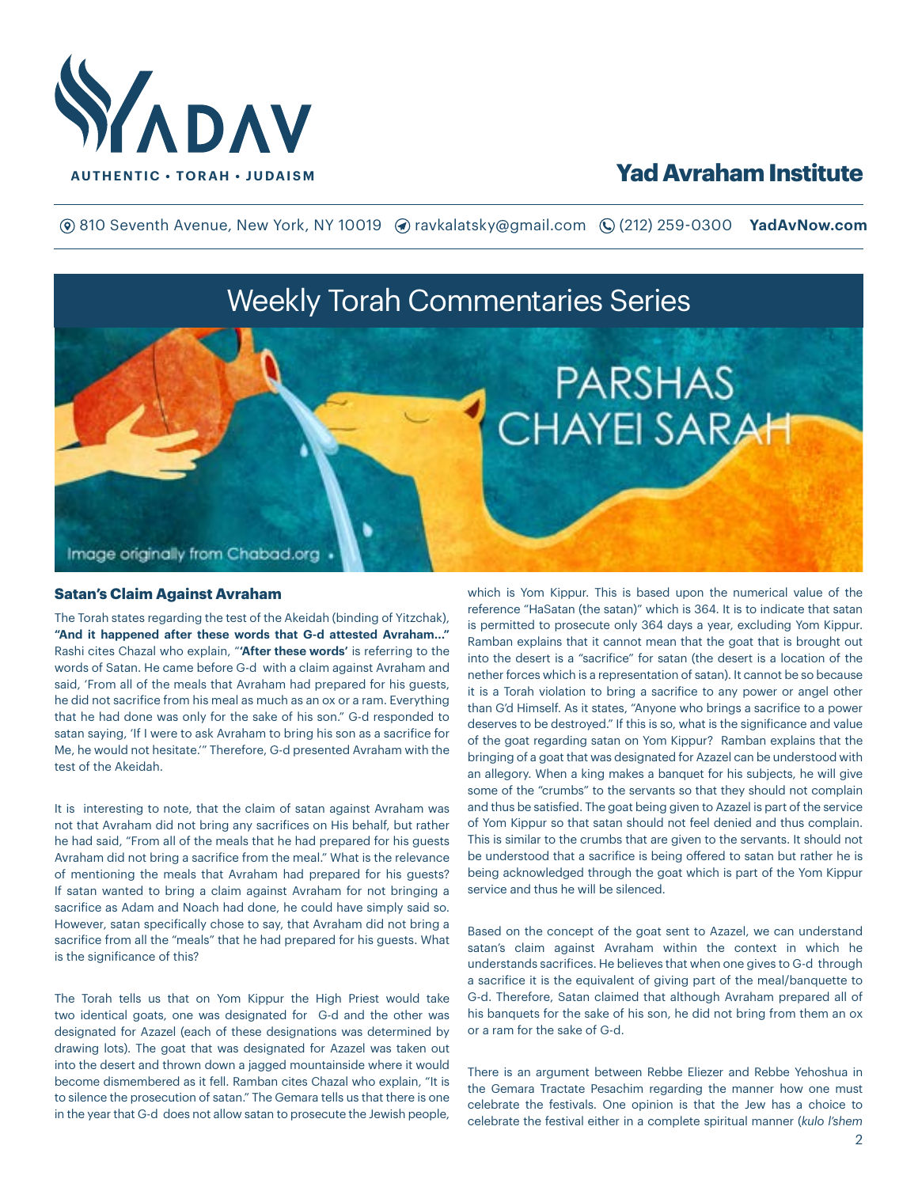

**(o)** 810 Seventh Avenue, New York, NY 10019 (a) ravkalatsky@gmail.com (Q (212) 259-0300 **YadAvNow.com** 

# Weekly Torah Commentaries Series



#### **Satan's Claim Against Avraham**

The Torah states regarding the test of the Akeidah (binding of Yitzchak), **"And it happened after these words that G-d attested Avraham..."** Rashi cites Chazal who explain, "**'After these words'** is referring to the words of Satan. He came before G-d with a claim against Avraham and said, 'From all of the meals that Avraham had prepared for his guests, he did not sacrifice from his meal as much as an ox or a ram. Everything that he had done was only for the sake of his son." G-d responded to satan saying, 'If I were to ask Avraham to bring his son as a sacrifice for Me, he would not hesitate.'" Therefore, G-d presented Avraham with the test of the Akeidah.

It is interesting to note, that the claim of satan against Avraham was not that Avraham did not bring any sacrifices on His behalf, but rather he had said, "From all of the meals that he had prepared for his guests Avraham did not bring a sacrifice from the meal." What is the relevance of mentioning the meals that Avraham had prepared for his guests? If satan wanted to bring a claim against Avraham for not bringing a sacrifice as Adam and Noach had done, he could have simply said so. However, satan specifically chose to say, that Avraham did not bring a sacrifice from all the "meals" that he had prepared for his guests. What is the significance of this?

The Torah tells us that on Yom Kippur the High Priest would take two identical goats, one was designated for G-d and the other was designated for Azazel (each of these designations was determined by drawing lots). The goat that was designated for Azazel was taken out into the desert and thrown down a jagged mountainside where it would become dismembered as it fell. Ramban cites Chazal who explain, "It is to silence the prosecution of satan." The Gemara tells us that there is one in the year that G-d does not allow satan to prosecute the Jewish people,

which is Yom Kippur. This is based upon the numerical value of the reference "HaSatan (the satan)" which is 364. It is to indicate that satan is permitted to prosecute only 364 days a year, excluding Yom Kippur. Ramban explains that it cannot mean that the goat that is brought out into the desert is a "sacrifice" for satan (the desert is a location of the nether forces which is a representation of satan). It cannot be so because it is a Torah violation to bring a sacrifice to any power or angel other than G'd Himself. As it states, "Anyone who brings a sacrifice to a power deserves to be destroyed." If this is so, what is the significance and value of the goat regarding satan on Yom Kippur? Ramban explains that the bringing of a goat that was designated for Azazel can be understood with an allegory. When a king makes a banquet for his subjects, he will give some of the "crumbs" to the servants so that they should not complain and thus be satisfied. The goat being given to Azazel is part of the service of Yom Kippur so that satan should not feel denied and thus complain. This is similar to the crumbs that are given to the servants. It should not be understood that a sacrifice is being offered to satan but rather he is being acknowledged through the goat which is part of the Yom Kippur service and thus he will be silenced.

Based on the concept of the goat sent to Azazel, we can understand satan's claim against Avraham within the context in which he understands sacrifices. He believes that when one gives to G-d through a sacrifice it is the equivalent of giving part of the meal/banquette to G-d. Therefore, Satan claimed that although Avraham prepared all of his banquets for the sake of his son, he did not bring from them an ox or a ram for the sake of G-d.

There is an argument between Rebbe Eliezer and Rebbe Yehoshua in the Gemara Tractate Pesachim regarding the manner how one must celebrate the festivals. One opinion is that the Jew has a choice to celebrate the festival either in a complete spiritual manner (*kulo l'shem*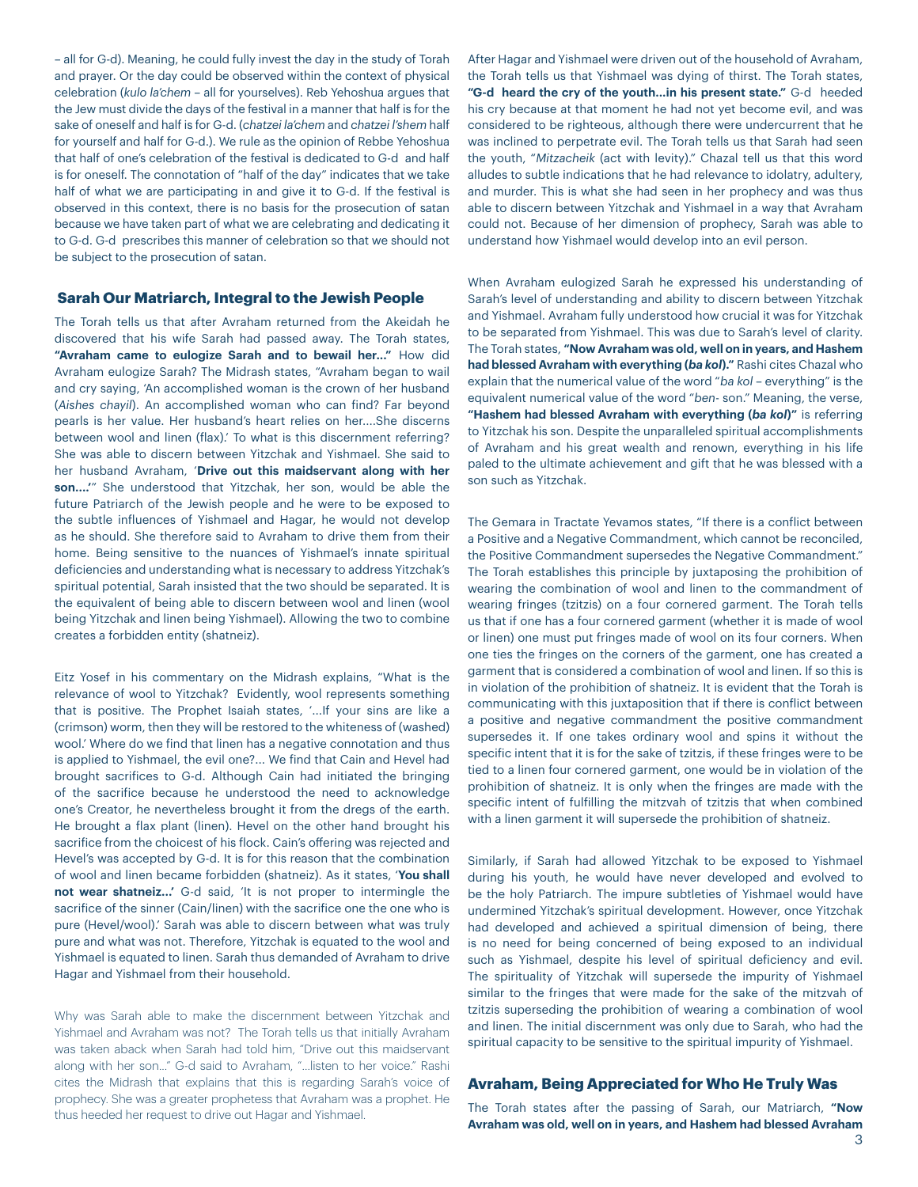– all for G-d). Meaning, he could fully invest the day in the study of Torah and prayer. Or the day could be observed within the context of physical celebration (*kulo la'chem* – all for yourselves). Reb Yehoshua argues that the Jew must divide the days of the festival in a manner that half is for the sake of oneself and half is for G-d. (*chatzei la'chem* and *chatzei l'shem* half for yourself and half for G-d.). We rule as the opinion of Rebbe Yehoshua that half of one's celebration of the festival is dedicated to G-d and half is for oneself. The connotation of "half of the day" indicates that we take half of what we are participating in and give it to G-d. If the festival is observed in this context, there is no basis for the prosecution of satan because we have taken part of what we are celebrating and dedicating it to G-d. G-d prescribes this manner of celebration so that we should not be subject to the prosecution of satan.

#### **Sarah Our Matriarch, Integral to the Jewish People**

The Torah tells us that after Avraham returned from the Akeidah he discovered that his wife Sarah had passed away. The Torah states, **"Avraham came to eulogize Sarah and to bewail her..."** How did Avraham eulogize Sarah? The Midrash states, "Avraham began to wail and cry saying, 'An accomplished woman is the crown of her husband (*Aishes chayil*). An accomplished woman who can find? Far beyond pearls is her value. Her husband's heart relies on her....She discerns between wool and linen (flax).' To what is this discernment referring? She was able to discern between Yitzchak and Yishmael. She said to her husband Avraham, '**Drive out this maidservant along with her son....'**" She understood that Yitzchak, her son, would be able the future Patriarch of the Jewish people and he were to be exposed to the subtle influences of Yishmael and Hagar, he would not develop as he should. She therefore said to Avraham to drive them from their home. Being sensitive to the nuances of Yishmael's innate spiritual deficiencies and understanding what is necessary to address Yitzchak's spiritual potential, Sarah insisted that the two should be separated. It is the equivalent of being able to discern between wool and linen (wool being Yitzchak and linen being Yishmael). Allowing the two to combine creates a forbidden entity (shatneiz).

Eitz Yosef in his commentary on the Midrash explains, "What is the relevance of wool to Yitzchak? Evidently, wool represents something that is positive. The Prophet Isaiah states, '...If your sins are like a (crimson) worm, then they will be restored to the whiteness of (washed) wool.' Where do we find that linen has a negative connotation and thus is applied to Yishmael, the evil one?... We find that Cain and Hevel had brought sacrifices to G-d. Although Cain had initiated the bringing of the sacrifice because he understood the need to acknowledge one's Creator, he nevertheless brought it from the dregs of the earth. He brought a flax plant (linen). Hevel on the other hand brought his sacrifice from the choicest of his flock. Cain's offering was rejected and Hevel's was accepted by G-d. It is for this reason that the combination of wool and linen became forbidden (shatneiz). As it states, '**You shall not wear shatneiz...'** G-d said, 'It is not proper to intermingle the sacrifice of the sinner (Cain/linen) with the sacrifice one the one who is pure (Hevel/wool).' Sarah was able to discern between what was truly pure and what was not. Therefore, Yitzchak is equated to the wool and Yishmael is equated to linen. Sarah thus demanded of Avraham to drive Hagar and Yishmael from their household.

Why was Sarah able to make the discernment between Yitzchak and Yishmael and Avraham was not? The Torah tells us that initially Avraham was taken aback when Sarah had told him, "Drive out this maidservant along with her son..." G-d said to Avraham, "...listen to her voice." Rashi cites the Midrash that explains that this is regarding Sarah's voice of prophecy. She was a greater prophetess that Avraham was a prophet. He thus heeded her request to drive out Hagar and Yishmael.

After Hagar and Yishmael were driven out of the household of Avraham, the Torah tells us that Yishmael was dying of thirst. The Torah states, **"G-d heard the cry of the youth...in his present state."** G-d heeded his cry because at that moment he had not yet become evil, and was considered to be righteous, although there were undercurrent that he was inclined to perpetrate evil. The Torah tells us that Sarah had seen the youth, "*Mitzacheik* (act with levity)." Chazal tell us that this word alludes to subtle indications that he had relevance to idolatry, adultery, and murder. This is what she had seen in her prophecy and was thus able to discern between Yitzchak and Yishmael in a way that Avraham could not. Because of her dimension of prophecy, Sarah was able to understand how Yishmael would develop into an evil person.

When Avraham eulogized Sarah he expressed his understanding of Sarah's level of understanding and ability to discern between Yitzchak and Yishmael. Avraham fully understood how crucial it was for Yitzchak to be separated from Yishmael. This was due to Sarah's level of clarity. The Torah states, **"Now Avraham was old, well on in years, and Hashem had blessed Avraham with everything (***ba kol***)."** Rashi cites Chazal who explain that the numerical value of the word "*ba kol* – everything" is the equivalent numerical value of the word "*ben*- son." Meaning, the verse, **"Hashem had blessed Avraham with everything (***ba kol***)"** is referring to Yitzchak his son. Despite the unparalleled spiritual accomplishments of Avraham and his great wealth and renown, everything in his life paled to the ultimate achievement and gift that he was blessed with a son such as Yitzchak.

The Gemara in Tractate Yevamos states, "If there is a conflict between a Positive and a Negative Commandment, which cannot be reconciled, the Positive Commandment supersedes the Negative Commandment." The Torah establishes this principle by juxtaposing the prohibition of wearing the combination of wool and linen to the commandment of wearing fringes (tzitzis) on a four cornered garment. The Torah tells us that if one has a four cornered garment (whether it is made of wool or linen) one must put fringes made of wool on its four corners. When one ties the fringes on the corners of the garment, one has created a garment that is considered a combination of wool and linen. If so this is in violation of the prohibition of shatneiz. It is evident that the Torah is communicating with this juxtaposition that if there is conflict between a positive and negative commandment the positive commandment supersedes it. If one takes ordinary wool and spins it without the specific intent that it is for the sake of tzitzis, if these fringes were to be tied to a linen four cornered garment, one would be in violation of the prohibition of shatneiz. It is only when the fringes are made with the specific intent of fulfilling the mitzvah of tzitzis that when combined with a linen garment it will supersede the prohibition of shatneiz.

Similarly, if Sarah had allowed Yitzchak to be exposed to Yishmael during his youth, he would have never developed and evolved to be the holy Patriarch. The impure subtleties of Yishmael would have undermined Yitzchak's spiritual development. However, once Yitzchak had developed and achieved a spiritual dimension of being, there is no need for being concerned of being exposed to an individual such as Yishmael, despite his level of spiritual deficiency and evil. The spirituality of Yitzchak will supersede the impurity of Yishmael similar to the fringes that were made for the sake of the mitzvah of tzitzis superseding the prohibition of wearing a combination of wool and linen. The initial discernment was only due to Sarah, who had the spiritual capacity to be sensitive to the spiritual impurity of Yishmael.

#### **Avraham, Being Appreciated for Who He Truly Was**

The Torah states after the passing of Sarah, our Matriarch, **"Now Avraham was old, well on in years, and Hashem had blessed Avraham**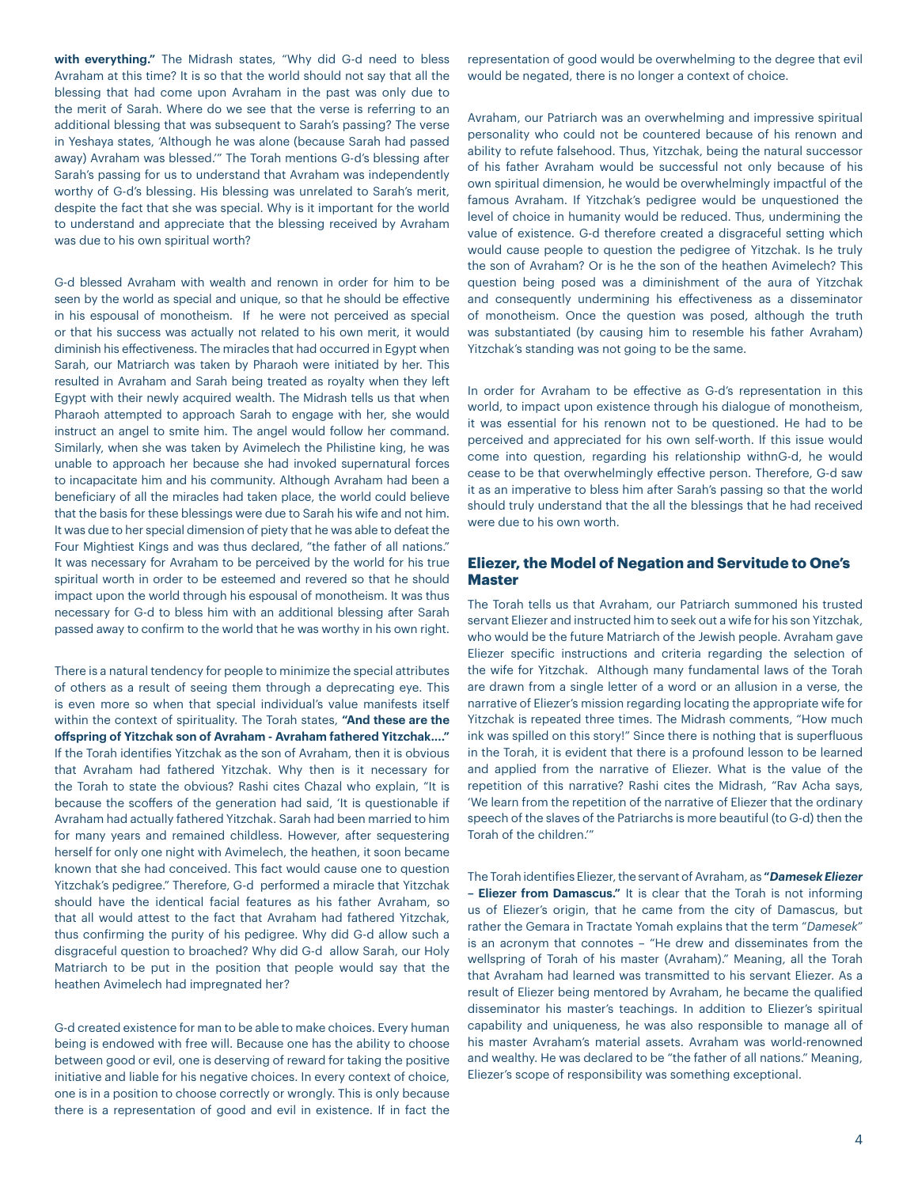**with everything."** The Midrash states, "Why did G-d need to bless Avraham at this time? It is so that the world should not say that all the blessing that had come upon Avraham in the past was only due to the merit of Sarah. Where do we see that the verse is referring to an additional blessing that was subsequent to Sarah's passing? The verse in Yeshaya states, 'Although he was alone (because Sarah had passed away) Avraham was blessed.'" The Torah mentions G-d's blessing after Sarah's passing for us to understand that Avraham was independently worthy of G-d's blessing. His blessing was unrelated to Sarah's merit, despite the fact that she was special. Why is it important for the world to understand and appreciate that the blessing received by Avraham was due to his own spiritual worth?

G-d blessed Avraham with wealth and renown in order for him to be seen by the world as special and unique, so that he should be effective in his espousal of monotheism. If he were not perceived as special or that his success was actually not related to his own merit, it would diminish his effectiveness. The miracles that had occurred in Egypt when Sarah, our Matriarch was taken by Pharaoh were initiated by her. This resulted in Avraham and Sarah being treated as royalty when they left Egypt with their newly acquired wealth. The Midrash tells us that when Pharaoh attempted to approach Sarah to engage with her, she would instruct an angel to smite him. The angel would follow her command. Similarly, when she was taken by Avimelech the Philistine king, he was unable to approach her because she had invoked supernatural forces to incapacitate him and his community. Although Avraham had been a beneficiary of all the miracles had taken place, the world could believe that the basis for these blessings were due to Sarah his wife and not him. It was due to her special dimension of piety that he was able to defeat the Four Mightiest Kings and was thus declared, "the father of all nations." It was necessary for Avraham to be perceived by the world for his true spiritual worth in order to be esteemed and revered so that he should impact upon the world through his espousal of monotheism. It was thus necessary for G-d to bless him with an additional blessing after Sarah passed away to confirm to the world that he was worthy in his own right.

There is a natural tendency for people to minimize the special attributes of others as a result of seeing them through a deprecating eye. This is even more so when that special individual's value manifests itself within the context of spirituality. The Torah states, **"And these are the offspring of Yitzchak son of Avraham - Avraham fathered Yitzchak...."** If the Torah identifies Yitzchak as the son of Avraham, then it is obvious that Avraham had fathered Yitzchak. Why then is it necessary for the Torah to state the obvious? Rashi cites Chazal who explain, "It is because the scoffers of the generation had said, 'It is questionable if Avraham had actually fathered Yitzchak. Sarah had been married to him for many years and remained childless. However, after sequestering herself for only one night with Avimelech, the heathen, it soon became known that she had conceived. This fact would cause one to question Yitzchak's pedigree." Therefore, G-d performed a miracle that Yitzchak should have the identical facial features as his father Avraham, so that all would attest to the fact that Avraham had fathered Yitzchak, thus confirming the purity of his pedigree. Why did G-d allow such a disgraceful question to broached? Why did G-d allow Sarah, our Holy Matriarch to be put in the position that people would say that the heathen Avimelech had impregnated her?

G-d created existence for man to be able to make choices. Every human being is endowed with free will. Because one has the ability to choose between good or evil, one is deserving of reward for taking the positive initiative and liable for his negative choices. In every context of choice, one is in a position to choose correctly or wrongly. This is only because there is a representation of good and evil in existence. If in fact the

representation of good would be overwhelming to the degree that evil would be negated, there is no longer a context of choice.

Avraham, our Patriarch was an overwhelming and impressive spiritual personality who could not be countered because of his renown and ability to refute falsehood. Thus, Yitzchak, being the natural successor of his father Avraham would be successful not only because of his own spiritual dimension, he would be overwhelmingly impactful of the famous Avraham. If Yitzchak's pedigree would be unquestioned the level of choice in humanity would be reduced. Thus, undermining the value of existence. G-d therefore created a disgraceful setting which would cause people to question the pedigree of Yitzchak. Is he truly the son of Avraham? Or is he the son of the heathen Avimelech? This question being posed was a diminishment of the aura of Yitzchak and consequently undermining his effectiveness as a disseminator of monotheism. Once the question was posed, although the truth was substantiated (by causing him to resemble his father Avraham) Yitzchak's standing was not going to be the same.

In order for Avraham to be effective as G-d's representation in this world, to impact upon existence through his dialogue of monotheism, it was essential for his renown not to be questioned. He had to be perceived and appreciated for his own self-worth. If this issue would come into question, regarding his relationship withnG-d, he would cease to be that overwhelmingly effective person. Therefore, G-d saw it as an imperative to bless him after Sarah's passing so that the world should truly understand that the all the blessings that he had received were due to his own worth.

### **Eliezer, the Model of Negation and Servitude to One's Master**

The Torah tells us that Avraham, our Patriarch summoned his trusted servant Eliezer and instructed him to seek out a wife for his son Yitzchak, who would be the future Matriarch of the Jewish people. Avraham gave Eliezer specific instructions and criteria regarding the selection of the wife for Yitzchak. Although many fundamental laws of the Torah are drawn from a single letter of a word or an allusion in a verse, the narrative of Eliezer's mission regarding locating the appropriate wife for Yitzchak is repeated three times. The Midrash comments, "How much ink was spilled on this story!" Since there is nothing that is superfluous in the Torah, it is evident that there is a profound lesson to be learned and applied from the narrative of Eliezer. What is the value of the repetition of this narrative? Rashi cites the Midrash, "Rav Acha says, 'We learn from the repetition of the narrative of Eliezer that the ordinary speech of the slaves of the Patriarchs is more beautiful (to G-d) then the Torah of the children.'"

The Torah identifies Eliezer, the servant of Avraham, as **"***Damesek Eliezer* **– Eliezer from Damascus."** It is clear that the Torah is not informing us of Eliezer's origin, that he came from the city of Damascus, but rather the Gemara in Tractate Yomah explains that the term "*Damesek*" is an acronym that connotes – "He drew and disseminates from the wellspring of Torah of his master (Avraham)." Meaning, all the Torah that Avraham had learned was transmitted to his servant Eliezer. As a result of Eliezer being mentored by Avraham, he became the qualified disseminator his master's teachings. In addition to Eliezer's spiritual capability and uniqueness, he was also responsible to manage all of his master Avraham's material assets. Avraham was world-renowned and wealthy. He was declared to be "the father of all nations." Meaning, Eliezer's scope of responsibility was something exceptional.